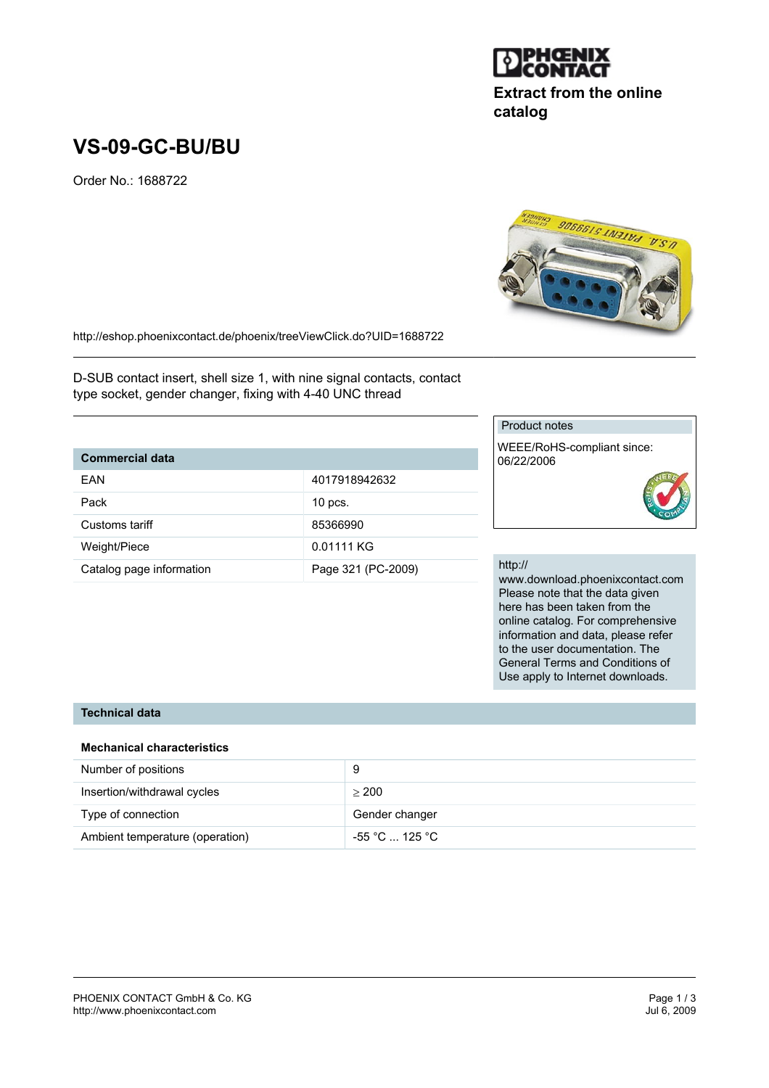

## **Extract from the online catalog**

**SUSSES FATERTS SUSSIGE** 

# **VS-09-GC-BU/BU**

Order No.: 1688722



D-SUB contact insert, shell size 1, with nine signal contacts, contact type socket, gender changer, fixing with 4-40 UNC thread

#### **Commercial data**

| FAN                      | 4017918942632      |
|--------------------------|--------------------|
| Pack                     | $10$ pcs.          |
| Customs tariff           | 85366990           |
| Weight/Piece             | 0.01111 KG         |
| Catalog page information | Page 321 (PC-2009) |

#### Product notes

WEEE/RoHS-compliant since: 06/22/2006

#### http://

www.download.phoenixcontact.com Please note that the data given here has been taken from the online catalog. For comprehensive information and data, please refer to the user documentation. The General Terms and Conditions of Use apply to Internet downloads.

#### **Technical data**

#### **Mechanical characteristics**

| Number of positions             | 9              |
|---------------------------------|----------------|
| Insertion/withdrawal cycles     | > 200          |
| Type of connection              | Gender changer |
| Ambient temperature (operation) | -55 °C  125 °C |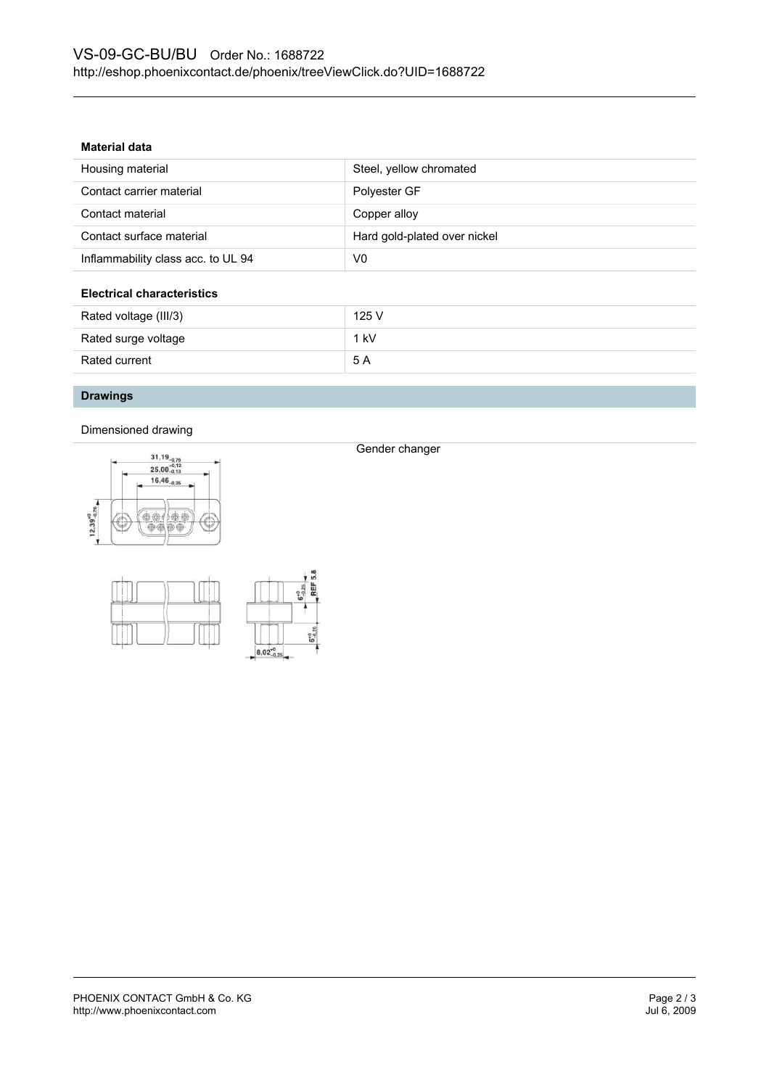#### **Material data**

| Housing material                   | Steel, yellow chromated      |  |
|------------------------------------|------------------------------|--|
| Contact carrier material           | Polyester GF                 |  |
| Contact material                   | Copper alloy                 |  |
| Contact surface material           | Hard gold-plated over nickel |  |
| Inflammability class acc. to UL 94 | V0                           |  |
| <b>Electrical characteristics</b>  |                              |  |
| Rated voltage (III/3)              | 125 V                        |  |
| Rated surge voltage                | $1$ kV                       |  |
| Rated current                      | 5 A                          |  |

#### **Drawings**

Dimensioned drawing





Gender changer